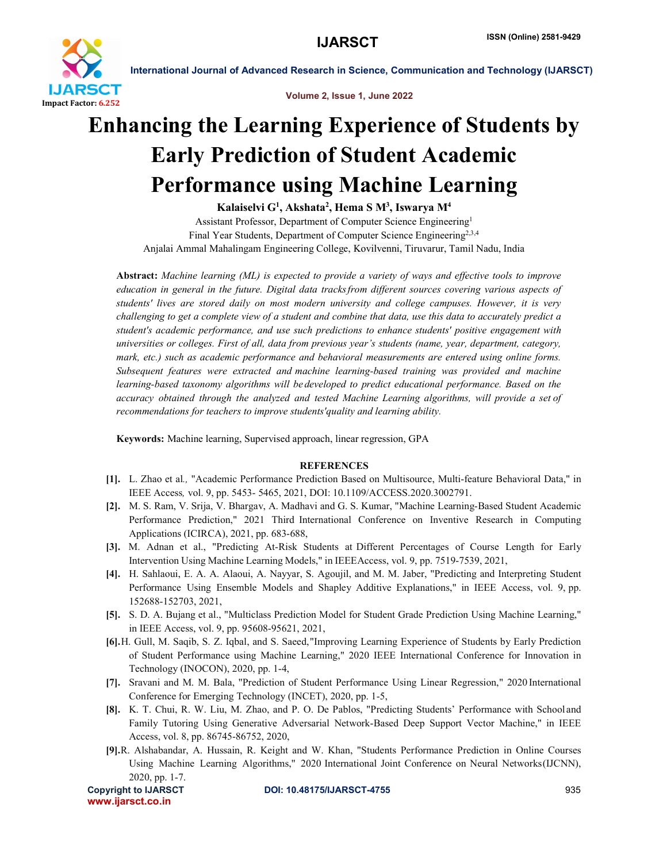

International Journal of Advanced Research in Science, Communication and Technology (IJARSCT)

Volume 2, Issue 1, June 2022

## Enhancing the Learning Experience of Students by Early Prediction of Student Academic Performance using Machine Learning

Kalaiselvi G<sup>1</sup>, Akshata<sup>2</sup>, Hema S M<sup>3</sup>, Iswarya M<sup>4</sup> Assistant Professor, Department of Computer Science Engineering1 Final Year Students, Department of Computer Science Engineering<sup>2,3,4</sup> Anjalai Ammal Mahalingam Engineering College, Kovilvenni, Tiruvarur, Tamil Nadu, India

Abstract: *Machine learning (ML) is expected to provide a variety of ways and effective tools to improve education in general in the future. Digital data tracksfrom different sources covering various aspects of students' lives are stored daily on most modern university and college campuses. However, it is very challenging to get a complete view of a student and combine that data, use this data to accurately predict a student's academic performance, and use such predictions to enhance students' positive engagement with universities or colleges. First of all, data from previous year's students (name, year, department, category, mark, etc.) such as academic performance and behavioral measurements are entered using online forms. Subsequent features were extracted and machine learning-based training was provided and machine learning-based taxonomy algorithms will be developed to predict educational performance. Based on the accuracy obtained through the analyzed and tested Machine Learning algorithms, will provide a set of recommendations for teachers to improve students'quality and learning ability.*

Keywords: Machine learning, Supervised approach, linear regression, GPA

## **REFERENCES**

- [1]. L. Zhao et al*.,* "Academic Performance Prediction Based on Multisource, Multi-feature Behavioral Data," in IEEE Access*,* vol. 9, pp. 5453- 5465, 2021, DOI: 10.1109/ACCESS.2020.3002791.
- [2]. M. S. Ram, V. Srija, V. Bhargav, A. Madhavi and G. S. Kumar, "Machine Learning-Based Student Academic Performance Prediction," 2021 Third International Conference on Inventive Research in Computing Applications (ICIRCA), 2021, pp. 683-688,
- [3]. M. Adnan et al., "Predicting At-Risk Students at Different Percentages of Course Length for Early Intervention Using Machine Learning Models," in IEEEAccess, vol. 9, pp. 7519-7539, 2021,
- [4]. H. Sahlaoui, E. A. A. Alaoui, A. Nayyar, S. Agoujil, and M. M. Jaber, "Predicting and Interpreting Student Performance Using Ensemble Models and Shapley Additive Explanations," in IEEE Access, vol. 9, pp. 152688-152703, 2021,
- [5]. S. D. A. Bujang et al., "Multiclass Prediction Model for Student Grade Prediction Using Machine Learning," in IEEE Access, vol. 9, pp. 95608-95621, 2021,
- [6].H. Gull, M. Saqib, S. Z. Iqbal, and S. Saeed,"Improving Learning Experience of Students by Early Prediction of Student Performance using Machine Learning," 2020 IEEE International Conference for Innovation in Technology (INOCON), 2020, pp. 1-4,
- [7]. Sravani and M. M. Bala, "Prediction of Student Performance Using Linear Regression," 2020 International Conference for Emerging Technology (INCET), 2020, pp. 1-5,
- [8]. K. T. Chui, R. W. Liu, M. Zhao, and P. O. De Pablos, "Predicting Students' Performance with School and Family Tutoring Using Generative Adversarial Network-Based Deep Support Vector Machine," in IEEE Access, vol. 8, pp. 86745-86752, 2020,
- [9].R. Alshabandar, A. Hussain, R. Keight and W. Khan, "Students Performance Prediction in Online Courses Using Machine Learning Algorithms," 2020 International Joint Conference on Neural Networks(IJCNN), 2020, pp. 1-7.

www.ijarsct.co.in